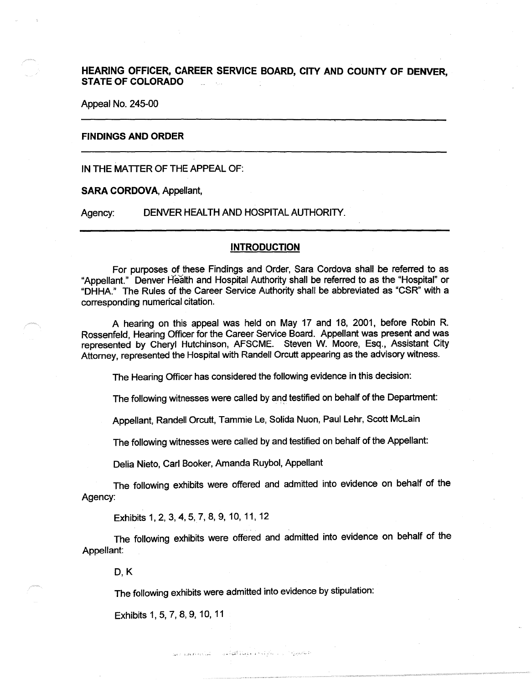**HEARING OFFICER, CAREER SERVICE BOARD, CITY AND COUNTY OF DENVER, STATE OF COLORADO** .

Appeal No. 245-00

## **FINDINGS AND ORDER**

IN THE MATTER OF THE APPEAL OF:

**SARA CORDOVA,** Appellant,

Agency: DENVER HEALTH AND HOSPITAL AUTHORITY.

# **INTRODUCTION**

For purposes of these Findings and Order, Sara Cordova shall be referred to as "Appellant." Denver Health and Hospital Authority shall be referred to as the "Hospital" or "DHHA." The Rules of the Career Service Authority shall be abbreviated as "CSR" with a corresponding numerical citation.

A hearing on this appeal was held on May 17 and 18, 2001, before Robin R. Rossenfeld, Hearing Officer for the Career Service Board. Appellant was present and was represented by Cheryl Hutchinson, AFSCME. Steven W. Moore, Esq., Assistant City Attorney, represented the Hospital with Randell Orcutt appearing as the advisory witness.

The Hearing Officer has considered the following evidence in this decision:

The following witnesses were called by and testified on behalf of the Department:

Appellant, Randell Orcutt, Tammie Le, Solida Nuon, Paul Lehr, Scott Mclain

The following witnesses were called by and testified on behalf of the Appellant:

Delia Nieto, Carl Booker, Amanda Ruybol, Appellant

The following exhibits were offered and admitted into evidence on behalf of the Agency:

Exhibits 1, 2, 3, 4, 5, 7, 8, 9, 10, 11, 12

The following exhibits were offered and admitted into evidence on behalf of the Appellant:

D,K

The following exhibits were admitted into evidence by stipulation:

.. , ;\_;,.! '. • ; '-~; ; ••. , •. • I '

Exhibits 1, 5, 7, 8, 9, 10, 11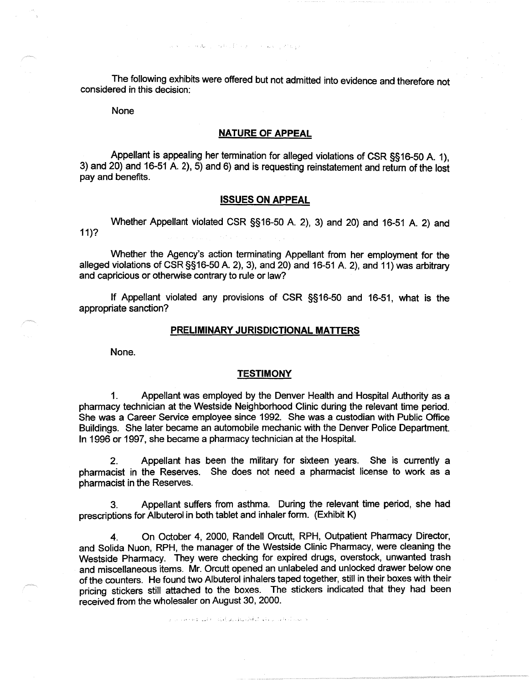The following exhibits were offered but not admitted into evidence and therefore not considered in this decision:

and a sexual extention of a way they

None

# **NATURE OF APPEAL**

Appellant is appealing her termination for alleged violations of CSR §§16-50 A. 1), 3) and 20) and 16-51 A. 2),  $5$ ) and 6) and is requesting reinstatement and return of the lost pay and benefits.

# **ISSUES ON APPEAL**

Whether Appellant violated CSR §§16-50 A. 2), 3) and 20) and 16-51 A. 2) and 11)?

Whether the Agency's action terminating Appellant from her employment for the alleged violations of CSR §§16-50 A. 2), 3), and 20) and 16-51 A. 2), and 11) was arbitrary and capricious or otherwise contrary to rule or law?

If Appellant violated any provisions of CSR §§16-50 and 16-51, what is the appropriate sanction?

#### **PRELIMINARY JURISDICTIONAL MATTERS**

None.

### **TESTIMONY**

1. Appellant was employed by the Denver Health and Hospital Authority as a pharmacy technician at the Westside Neighborhood Clinic during the relevant time period. She was a Career Service employee since 1992. She was a custodian with Public Office Buildings. She later became an automobile mechanic with the Denver Police Department. In 1996 or 1997, she became a pharmacy technician at the Hospital.

2. Appellant has been the military for sixteen years. She is currently a pharmacist in the Reserves. She does not need a pharmacist license to work as a pharmacist in the Reserves.

3. Appellant suffers from asthma. During the relevant time period, she had prescriptions for Albuterol in both tablet and inhaler form. (Exhibit K)

4. On October 4, 2000, Randell Orcutt, RPH, Outpatient Pharmacy Director, and Solida Nuon, RPH, the manager of the Westside Clinic Pharmacy, were cleaning the Westside Pharmacy. They were checking for expired drugs, overstock, unwanted trash and miscellaneous items. Mr. Orcutt opened an unlabeled and unlocked drawer below one of the counters. He found two Albuterol inhalers taped together, still in their boxes with their pricing stickers still attached to the boxes. The stickers indicated that they had been received from the wholesaler on August 30, 2000 .

. ' . ·• . -·. *:* • ' ,., . ; ·--~ . *:* ', ! . . • '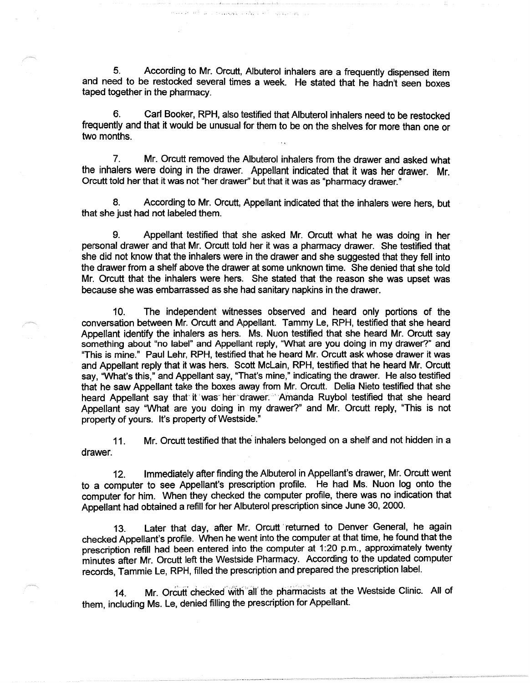5. According to Mr. Orcutt, Albuterol inhalers are a frequently dispensed item and need to be restocked several times a week. He stated that he hadn't seen boxes taped together in the pharmacy.

reviewer of the cool street are no

6. Carl Booker, RPH, also testified that Albuterol inhalers need to be restocked frequently and that it would be unusual for them to be on the shelves for more than one or two months.

7. Mr. Orcutt removed the Albuterol inhalers from the drawer and asked what the inhalers were doing in the drawer. Appellant indicated that it was her drawer. Mr. Orcutt told her that it was not "her drawer" but that it was as "pharmacy drawer."

8. According to Mr. Orcutt, Appellant indicated that the inhalers were hers, but that she just had not labeled them.

9. Appellant testified that she asked Mr. Orcutt what he was doing in her personal drawer and that Mr. Orcutt told her it was a pharmacy drawer. She testified that she did not know that the inhalers were in the drawer and she suggested that they fell into the drawer from a shelf above the drawer at some unknown time. She denied that she told Mr. Orcutt that the inhalers were hers. She stated that the reason she was upset was because she was embarrassed as she had sanitary napkins in the drawer.

10. The independent witnesses observed and heard only portions of the conversation between Mr. Orcutt and Appellant. Tammy Le, RPH, testified that she heard Appellant identify the inhalers as hers. Ms. Nuon testified that she heard Mr. Orcutt say something about "no label" and Appellant reply, "What are you doing in my drawer?" and "This is mine." Paul Lehr, RPH, testified that he heard Mr. Orcutt ask whose drawer it was and Appellant reply that it was hers. Scott McLain, RPH, testified that he heard Mr. Orcutt say, "What's this," and Appellant say, "That's mine," indicating the drawer. He also testified that he saw Appellant take the boxes away from Mr. Orcutt. Delia Nieto testified that she heard Appellant say that it was her drawer. Amanda Ruybol testified that she heard Appellant say "What are you doing in my drawer?" and Mr. Orcutt reply, "This is not property of yours. It's property of Westside."

11. Mr. Orcutt testified that the inhalers belonged on a shelf and not hidden in a drawer.

12. Immediately after finding the Albuterol in Appellant's drawer, Mr. Orcutt went to a computer to see Appellant's prescription profile. He had Ms. Nuon log onto the computer for him. When they checked the computer profile, there was no indication that Appellant had obtained a refill for her Albuterol prescription since June 30, 2000.

13. Later that day, after Mr. Orcutt returned to Denver General, he again checked Appellant's profile. When he went into the computer at that time, he found that the prescription refill had been entered into the computer at 1:20 p.m., approximately twenty minutes after Mr. Orcutt left the Westside Pharmacy. According to the updated computer records, Tammie Le, RPH, filled the prescription and prepared the prescription label.

14. Mr. Orcutt checked with all the pharmacists at the Westside Clinic. All of them, including Ms. Le, denied filling the prescription for Appellant.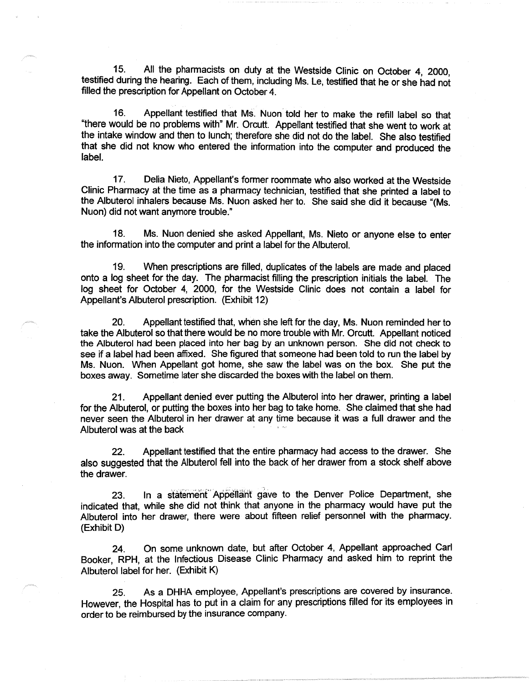15. All the pharmacists on duty at the Westside Clinic on October 4, 2000, testified during the hearing. Each of them, including Ms. Le, testified that he or she had not filled the prescription for Appellant on October 4.

16. Appellant testified that Ms. Nuon told her to make the refill label so that "there would be no problems with" Mr. Orcutt. Appellant testified that she went to work at the intake window and then to lunch; therefore she did not do the label. She also testified that she did not know who entered the information into the computer and produced the label.

17. Delia Nieto, Appellant's former roommate who also worked at the Westside Clinic Pharmacy at the time as a pharmacy technician, testified that she printed a label to the Albuterol inhalers because Ms. Nuon asked her to. She said she did it because "(Ms. Nuon) did not want anymore trouble."

18. Ms. Nuon denied she asked Appellant, Ms. Nieto or anyone else to enter the information into the computer and print a label for the Albuterol.

19. When prescriptions are filled, duplicates of the labels are made and placed onto a log sheet for the day. The pharmacist filling the prescription initials the label. The log sheet for October 4, 2000, for the Westside Clinic does not contain a label for Appellant's Albuterol prescription. (Exhibit 12)

20. Appellant testified that, when she left for the day, Ms. Nuon reminded her to take the Albuterol so that there would be no more trouble with Mr. Orcutt. Appellant noticed the Albuterol had been placed into her bag by an unknown person. She did not check to see if a label had been affixed. She figured that someone had been told to run the label by Ms. Nuon. When Appellant got home, she saw the label was on the box. She put the boxes away. Sometime later she discarded the boxes with the label on them.

21. Appellant denied ever putting the Albuterol into her drawer, printing a label for the Albuterol, or putting the boxes into her bag to take home. She claimed that she had never seen the Albuterol in her drawer at any time because it was a full drawer and the Albuterol was at the back

22. Appellant testified that the entire pharmacy had access to the drawer. She also suggested that the Albuterol fell into the back of her drawer from a stock shelf above the drawer.

23. In a statement Appellant gave to the Denver Police Department, she indicated that, while she did not think that anyone in the pharmacy would have put the Albuterol into her drawer, there were about fifteen relief personnel with the pharmacy. (Exhibit D)

24. On some unknown date, but after October 4, Appellant approached Carl Booker, RPH, at the Infectious Disease Clinic Pharmacy and asked him to reprint the Albuterol label for her. (Exhibit K)

25. As a DHHA employee, Appellant's prescriptions are covered by insurance. However, the Hospital has to put in a claim for any prescriptions filled for its employees in order to be reimbursed by the insurance company.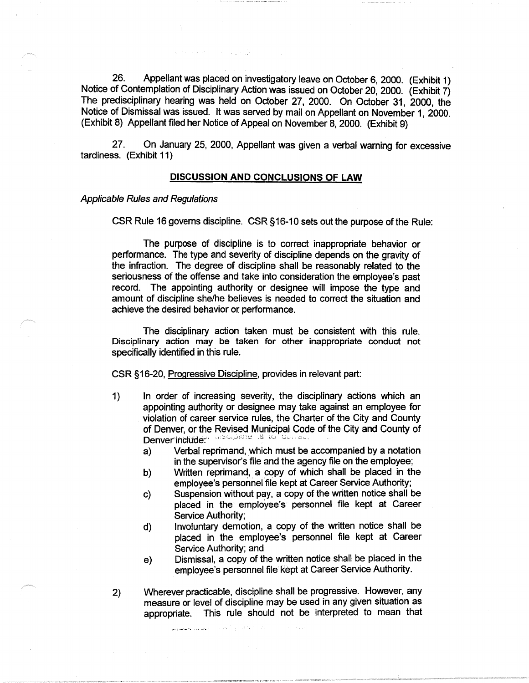26. Appellant was placed on investigatory leave on October 6, 2000. (Exhibit 1) Notice of Contemplation of Disciplinary Action was issued on October 20, 2000. (Exhibit 7) The predisciplinary hearing was held on October 27, 2000. On October 31, 2000, the Notice of Dismissal was issued. It was served by mail on Appellant on November 1, 2000. (Exhibit 8) Appellant filed her Notice of Appeal on November 8, 2000. (Exhibit 9)

27. On January 25, 2000, Appellant was given a verbal warning for excessive tardiness. (Exhibit 11)

### **DISCUSSION AND CONCLUSIONS OF LAW**

# Applicable Rules and Regulations

CSR Rule 16 governs discipline. CSR § 16-10 sets out the purpose of the Rule:

The purpose of discipline is to correct inappropriate behavior or performance. The type and severity of discipline depends on the gravity of the infraction. The degree of discipline shall be reasonably related to the seriousness of the offense and take into consideration the employee's past record. The appointing authority or designee will impose the type and amount of discipline she/he believes is needed to correct the situation and achieve the desired behavior or performance.

The disciplinary action taken must be consistent with this rule. Disciplinary action may be taken for other inappropriate conduct not specifically identified in this rule.

CSR § 16-20, Progressive Discipline, provides in relevant part:

- 1) In order of increasing severity, the disciplinary actions which an appointing authority or designee may take against an employee for violation of career service rules, the Charter of the City and County of Denver, or the Revised Municipal Code of the City and County of Denverint:ltide~· ·• '''·4 ·"'' *:.c:* .s tu ;.;\_ '' ,.,,. ·
	- a) Verbal reprimand, which must be accompanied by a notation in the supervisor's file and the agency file on the employee;
	- b) Written reprimand, a copy of which shall be placed in the employee's personnel file kept at Career Service Authority;
	- c) Suspension without pay, a copy of the written notice shall be placed in the employee's personnel file kept at Career Service Authority;
	- d) Involuntary demotion, a copy of the written notice shall be placed in the employee's personnel file kept at Career Service Authority; and
	- e) Dismissal, a copy of the written notice shall be placed in the employee's personnel file kept at Career Service Authority.
- 2) Wherever practicable, discipline shall be progressive. However, any measure or level of discipline may be used in any given situation as appropriate. This rule should not be interpreted to mean that

أركاب كالأكاد الراحكم كمحاب والهراوت تمسيحون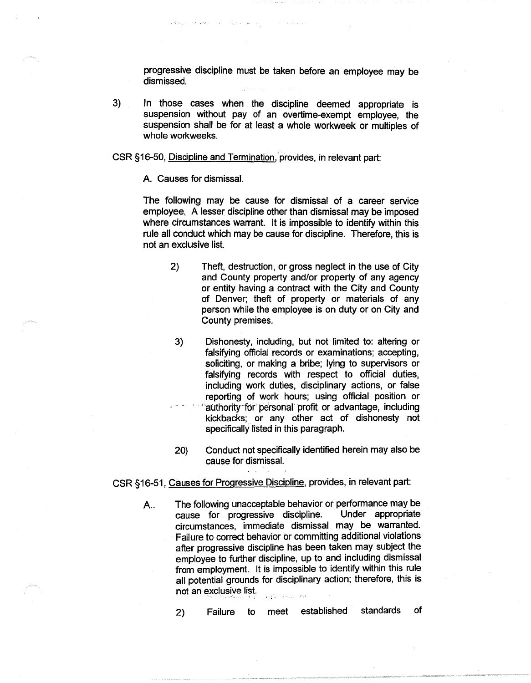progressive discipline must be taken before an employee may be dismissed.

of the braining

3) In those cases when the discipline deemed appropriate is suspension without pay of an overtime-exempt employee, the suspension shall be for at least a whole workweek or multiples of whole workweeks.

CSR §16-50, Discipline and Termination, provides, in relevant part:

State Cardinal and

A. Causes for dismissal.

 $\omega\cdot\tilde{f}_{\omega}\cdot\omega\cdot\omega_{\omega}=\left\langle\psi_{\omega}\right\rangle\omega_{\omega}\cdot\omega_{\omega}\left\langle\omega_{\omega}\right\rangle\omega_{\omega}+\omega_{\omega}\omega_{\omega}\omega_{\omega}$ 

The following may be cause for dismissal of a career service employee. A lesser discipline other than dismissal may be imposed where circumstances warrant. It is impossible to identify within this rule all conduct which may be cause for discipline. Therefore, this is not an exclusive list.

- 2) Theft, destruction, or gross neglect in the use of City and County property and/or property of any agency or entity having a contract with the City and County of Denver; theft of property or materials of any person while the employee is on duty or on City and County premises.
- 3) Dishonesty, including, but not limited to: altering or falsifying official records or examinations; accepting, soliciting, or making a bribe; lying to supervisors or falsifying records with respect to official duties, including work duties, disciplinary actions, or false reporting of work hours; using official position or authority for personal profit or advantage, including kickbacks; or any other act of dishonesty not specifically listed in this paragraph.
- 20) Conduct not specifically identified herein may also be cause for dismissal.

CSR §16-51, Causes for Progressive Discipline, provides, in relevant part:

A.. The following unacceptable behavior or performance may be cause for progressive discipline. Under appropriate circumstances, immediate dismissal may be warranted. Failure to correct behavior br committing additional violations after progressive discipline has been taken may subject the employee to further discipline, up to and including dismissal from employment. It is impossible to identify within this rule all potential grounds for disciplinary action; therefore, this is not an exclusive list.

2) Failure to meet established standards of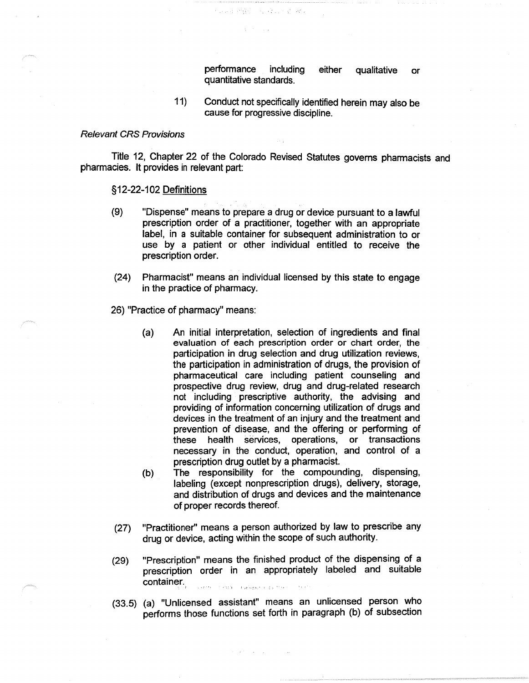performance including either qualitative or quantitative standards.

11) Conduct not specifically identified herein may also be cause for progressive discipline.

# Relevant CRS Provisions

Title 12, Chapter 22 of the Colorado Revised Statutes governs pharmacists and pharmacies. It provides in relevant part:

지도 아버지는 말을 먹었다.

### § 12-22-102 Definitions

- (9) "Dispense" means to prepare a drug or device pursuant to a lawful prescription order of a practitioner, together with an appropriate label, in a suitable container for subsequent administration to or use by a patient or other individual entitled to receive the prescription order.
- (24) Pharmacist" means an individual licensed by this state to engage in the practice of pharmacy.
- 26) "Practice of pharmacy" means:
	- (a) An initial interpretation, selection of ingredients and final evaluation of each prescription order or chart order, the participation in drug selection and drug utilization reviews, the participation in administration of drugs, the provision of pharmaceutical care including patient counseling and prospective drug review, drug and drug-related research not including prescriptive authority, the advising and providing of information concerning utilization of drugs and devices in the treatment of an injury and the treatment and prevention of disease, and the offering or performing of these health services, operations, or transactions necessary in the conduct, operation, and control of a prescription drug outlet by a pharmacist.
	- (b) The responsibility for the compounding, dispensing, labeling (except nonprescription drugs), delivery, storage, and distribution of drugs and devices and the maintenance of proper records thereof.
- (27) "Practitioner" means a person authorized by law to prescribe any drug or device, acting within the scope of such authority.
- "Prescription" means the finished product of the dispensing of a (29) prescription order in an appropriately labeled and suitable container. li<br>Livente (1979-1979) – a geliškje iz izgladnik n '
- (33.5) (a) "Unlicensed assistant" means an unlicensed person who performs those functions set forth in paragraph (b) of subsection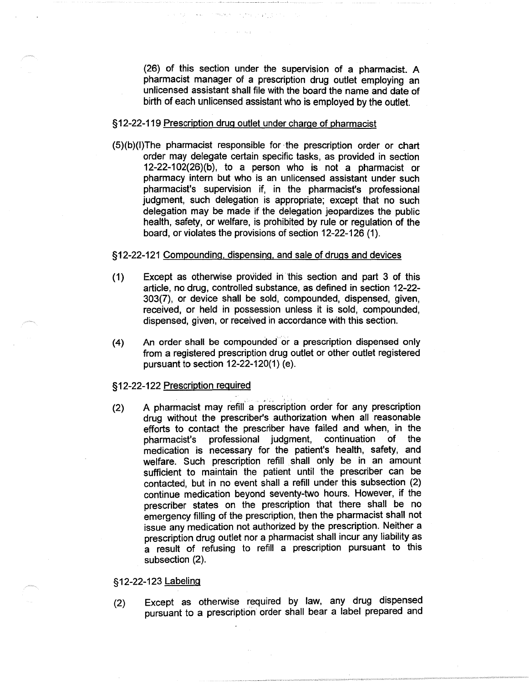(26) of this section under the supervision of a pharmacist. A pharmacist manager of a prescription drug outlet employing an unlicensed assistant shall file with the board the name and date of birth of each unlicensed assistant who is employed by the outlet.

## § 12-22-119 Prescription drug outlet under charge of pharmacist

se english program

**Contractor** 

(S)(b)(l)The pharmacist responsible for ·the prescription order or chart order may delegate certain specific tasks, as provided in section 12-22-102(26)(b), to a person who is not a pharmacist or pharmacy intern but who is an unlicensed assistant under such pharmacist's supervision if, in the pharmacist's professional judgment, such delegation is appropriate; except that no such delegation may be made if the delegation jeopardizes the public health, safety, or welfare, is prohibited by rule or regulation of the board, or violates the provisions of section 12-22-126 (1).

# §12-22-121 Compounding, dispensing, and sale of drugs and devices

- (1) Except as otherwise provided in 'this section and part 3 of this article, no drug, controlled substance, as defined in section 12-22- 303(7), or device shall be sold, compounded, dispensed, given, received, or held in possession unless it is sold, compounded, dispensed, given, or received in accordance with this section.
- (4) An order shall be compounded or a prescription dispensed only from a registered prescription drug outlet or other outlet registered pursuant to section 12-22-120(1) (e).

## § 12-22-122 Prescription required

(2) A pharmacist may refill° a prescription order for any prescription drug without the prescriber's authorization when all reasonable efforts to contact the prescriber have failed and when, in the pharmacist's professional judgment, continuation of the medication is necessary for the patient's health, safety, and welfare. Such prescription refill shall only be in an amount sufficient to maintain the patient until the prescriber can be contacted, but in no event shall a refill under this subsection (2) continue medication beyond seventy-two hours. However, if the prescriber states on the prescription that there shall be no emergency filling of the prescription, then the pharmacist shall not issue any medication not authorized by the prescription. Neither a prescription drug outlet nor a pharmacist shall incur any liability as a result of refusing to refill a prescription pursuant to this subsection (2).

# §12-22-123 Labeling

(2) Except as otherwise required by law, any drug dispensed pursuant to a prescription order shall bear a label prepared and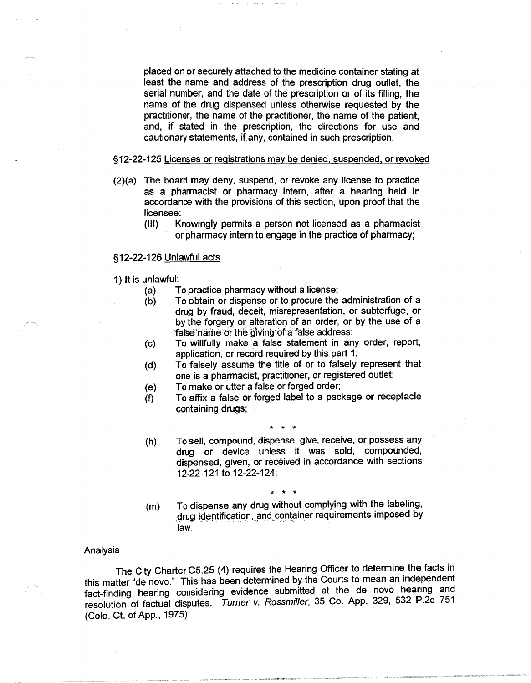placed on or securely attached to the medicine container stating at least the name and address of the prescription drug outlet, the serial number, and the date of the prescription or of its filling, the name of the drug dispensed unless otherwise requested by the practitioner, the name of the practitioner, the name of the patient, and, if stated in the prescription, the directions for use and cautionary statements, if any, contained in such prescription.

### §12-22-125 Licenses or registrations may be denied, suspended, or revoked

- (2)(a) The board may deny, suspend, or revoke any license to practice as a pharmacist or pharmacy intern, after a hearing held in accordance with the provisions of this section, upon proof that the licensee:
	- (Ill) Knowingly permits a person not licensed as a pharmacist or pharmacy intern to engage in the practice of pharmacy;

# §12-22-126 Unlawful acts

- 1) It is unlawful:
	- (a) To practice pharmacy without a license;
	- (b) To obtain or dispense or to procure the administration of a drug by fraud, deceit, misrepresentation, or subterfuge, or by the forgery or alteration of an order, or by the use of a false name or the giving of a false address;
	- (c) To willfully make. a false statement in any order, report, application, or record required by this part 1;
	- ( d) To falsely assume the title of or to falsely represent that one is a pharmacist, practitioner, or registered outlet;
	- (e) To make or utter a false or forged order;
	- (f) To affix a false or forged label to a package or receptacle containing drugs;

\* \* \*

- (h) To sell, compound, dispense, give, receive, or possess any drug or device unless it was sold, compounded, dispensed, given, or received in accordance with sections 12-22-121 to 12-22-124;
- (m) \* \* \* To dispense any drug without complying with the labeling, drug identification, and container requirements imposed by law.

### Analysis

The City Charter CS.25 (4) requires the Hearing Officer to determine the facts in this matter "de novo." This has been determined by the Courts to mean an independent fact-finding hearing considering evidence submitted at the de novo hearing and resolution of factual disputes. Turner v. Rossmiller, 35 Co. App. 329, 532 P.2d 751 (Colo. Ct. of App., 1975).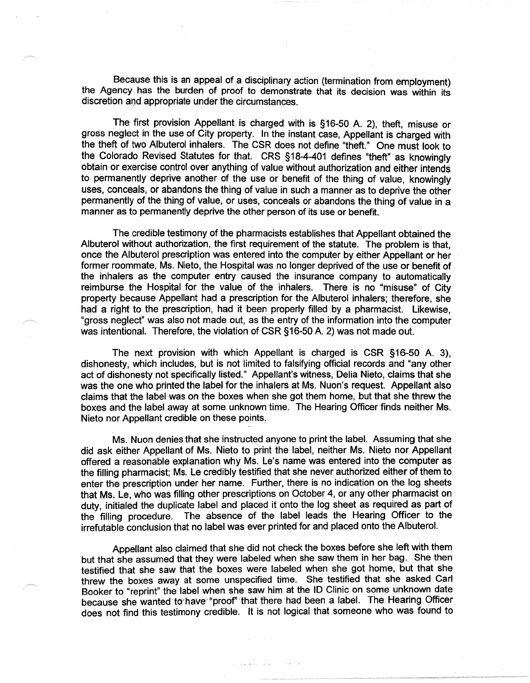Because this is an appeal of a disciplinary action (termination from employment) the Agency has the burden of proof to demonstrate that its decision was within its discretion and appropriate under the circumstances.

The first provision Appellant is charged with is §16-50 A. 2), theft, misuse or gross neglect in the use of City property. In the instant case, Appellant is charged with the theft of two Albuterol inhalers. The CSR does not define "theft." One must look to the Colorado Revised Statutes for that. CRS §18-4-401 defines "theft" as knowingly obtain or exercise control over anything of value without authorization and either intends to permanently deprive another of the use or benefit of the thing of value, knowingly uses, conceals, or abandons the thing of value in such a manner as to deprive the other permanently of the thing of value, or uses, conceals or abandons the thing of value in a manner as to permanently deprive the other person of its use or benefit.

The credible testimony of the pharmacists establishes that Appellant obtained the Albuterol without authorization, the first requirement of the statute. The problem is that, once the Albuterol prescription was entered into the computer by either Appellant or her former roommate, Ms. Nieto, the Hospital was no longer deprived of the use or benefit of the inhalers as the computer entry caused the insurance company to automatically reimburse the Hospital for the value of the inhalers. There is no "misuse" of City property because Appellant had a prescription for the Albuterol inhalers; therefore, she had a right to the prescription, had it been properly filled by a pharmacist. Likewise, "gross neglect" was also not made out, as the entry of the information into the computer was intentional. Therefore, the violation of CSR §16-50 A. 2) was not made out.

The next provision with which Appellant is charged is CSR §16-50 A. 3), dishonesty, which includes, but is not limited to falsifying official records and "any other act of dishonesty not specifically listed." Appellant's witness, Delia Nieto, claims that she was the one who printed the label for the inhalers at Ms. Nuon's request. Appellant also claims that the label was on the boxes when she got them home, but that she threw the boxes and the label away at some unknown time. The Hearing Officer finds neither Ms. Nieto nor Appellant credible on these points.

Ms. Nuon denies that she instructed anyone to print the label. Assuming that she did ask either Appellant of Ms. Nieto to print the label, neither Ms. Nieto nor Appellant offered a reasonable explanation why Ms. Le's name was entered into the computer as the filling pharmacist; Ms. Le credibly testified that she never authorized either of them to enter the prescription under her name. Further, there is no indication on the log sheets that Ms. Le, who was filling other prescriptions on October 4, or any other pharmacist on duty, initialed the duplicate label and placed it onto the log sheet as required as part of the filling procedure. The absence of the label leads the Hearing Officer to the irrefutable conclusion that no label was ever printed for and placed onto the Albuterol.

Appellant also claimed that she did not check the boxes before she left with them but that she assumed that they were labeled when she saw them in her bag. She then testified that she saw that the boxes were labeled when she got home, but that she threw the boxes away at some unspecified time. She testified that she asked Carl Booker to "reprint" the label when she saw him at the ID Clinic on some unknown date because she wanted to have "proof" that there had been a label. The Hearing Officer does not find this testimony credible. It is not logical that someone who was found to

 $\label{eq:2} \begin{array}{lllllllllllll} \mathcal{L} & \mathcal{L} & \mathcal{L} & \mathcal{L} & \mathcal{L} & \mathcal{L} & \mathcal{L} & \mathcal{L} & \mathcal{L} \\ \mathcal{L} & \mathcal{L} & \mathcal{L} & \mathcal{L} & \mathcal{L} & \mathcal{L} & \mathcal{L} & \mathcal{L} & \mathcal{L} & \mathcal{L} \\ \mathcal{L} & \mathcal{L} & \mathcal{L} & \mathcal{L} & \mathcal{L} & \mathcal{L} & \mathcal{L} & \mathcal{L} & \mathcal{L} & \mathcal{$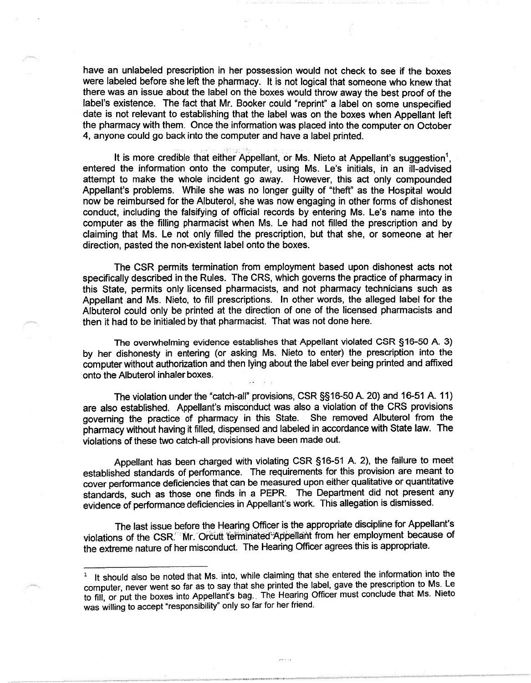have an unlabeled prescription in her possession would not check to see if the boxes were labeled before she left the pharmacy. It is not logical that someone who knew that there was an issue about the label on the boxes would throw away the best proof of the label's existence. The fact that Mr. Booker could "reprint" a label on some unspecified date is not relevant to establishing that the label was on the boxes when Appellant left the pharmacy with them. Once the information was placed into the computer on October 4, anyone could go back into the computer and have a label printed.

• ... > •

It is more credible that either Appellant, or Ms. Nieto at Appellant's suggestion<sup>1</sup>, entered the information onto the computer, using Ms. Le's initials, in an ill-advised attempt to make the whole incident go away. However, this act only compounded Appellant's problems. While she was no longer guilty of "theft" as the Hospital would now be reimbursed for the Albuterol, she was now engaging in other forms of dishonest conduct, including the falsifying of official records by entering Ms. Le's name into the computer as the filling pharmacist when Ms. Le had not filled the prescription and by claiming that Ms. Le not only filled the prescription, but that she, or someone at her direction, pasted the non-existent label onto the boxes.

The CSR permits termination from employment based upon dishonest acts not specifically described in the Rules. The CRS, which governs the practice of pharmacy in this State, permits only licensed pharmacists, and not pharmacy technicians such as Appellant and Ms. Nieto, to fill prescriptions. In other words, the alleged label for the Albuterol could only be printed at the direction of one of the licensed pharmacists and then it had to be initialed by that pharmacist. That was not done here.

The overwhelming evidence establishes that Appellant violated CSR §16-50 A. 3) by her dishonesty in entering (or asking Ms. Nieto to enter) the prescription into the computer without authorization and then lying about the label ever being printed and affixed onto the Albuterol inhaler boxes.

The violation under the "catch-all" provisions, CSR §§16-50 A. 20) and 16-51 A. 11) are also established. Appellant's misconduct was also a violation of the CRS provisions governing the practice of pharmacy in this State. She removed Albuterol from the pharmacy without having it filled, dispensed and labeled in accordance with State law. The violations of these two catch-all provisions have been made out.

Appellant has been charged with violating CSR §16-51 A. 2), the failure to meet established standards of performance. The requirements for this provision are meant to cover performance deficiencies that can be measured upon either qualitative or quantitative standards, such as those one finds in a PEPR. The Department did not present any evidence of performance deficiencies in Appellant's work. This allegation is dismissed.

The last issue before the Hearing Officer is the appropriate discipline for Appellant's violations of the CSR. Wr. Orcutt terminated Appellant from her employment because of the extreme nature of her misconduct. The Hearing Officer agrees this is appropriate.

 $\hat{p}$  is a  $\hat{q}$ 

<sup>&</sup>lt;sup>1</sup> It should also be noted that Ms. into, while claiming that she entered the information into the computer, never went so far as to say that she printed the label, gave the prescription to Ms. Le to fill, or put the boxes into Appellant's bag. The Hearing Officer must conclude that Ms. Nieto was willing to accept "responsibility" only so far for her friend.